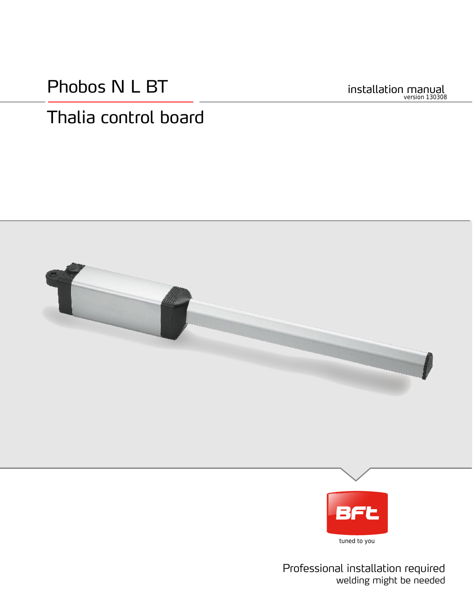Phobos N L BT

installation manual version 130308

# Thalia control board



tuned to you

Professional installation required welding might be needed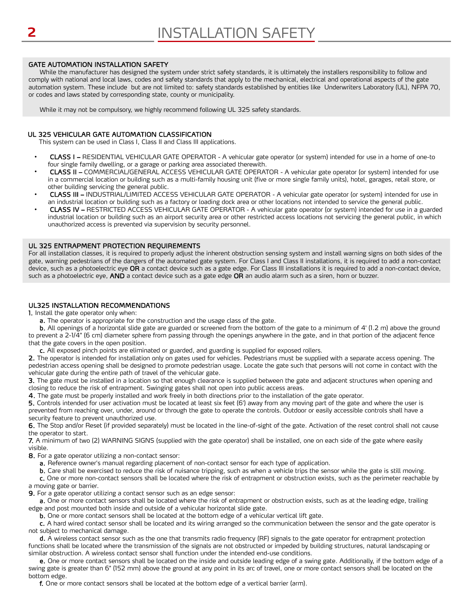#### GATE AUTOMATION INSTALLATION SAFETY

While the manufacturer has designed the system under strict safety standards, it is ultimately the installers responsibility to follow and comply with national and local laws, codes and safety standards that apply to the mechanical, electrical and operational aspects of the gate automation system. These include but are not limited to: safety standards established by entities like Underwriters Laboratory (UL), NFPA 70, or codes and laws stated by corresponding state, county or municipality.

While it may not be compulsory, we highly recommend following UL 325 safety standards.

#### UL 325 VEHICULAR GATE AUTOMATION CLASSIFICATION

This system can be used in Class I, Class II and Class III applications.

- CLASS I RESIDENTIAL VEHICULAR GATE OPERATOR A vehicular gate operator (or system) intended for use in a home of one-to four single family dwelling, or a garage or parking area associated therewith.
- CLASS II – COMMERCIAL/GENERAL ACCESS VEHICULAR GATE OPERATOR - A vehicular gate operator (or system) intended for use in a commercial location or building such as a multi-family housing unit (five or more single family units), hotel, garages, retail store, or other building servicing the general public.
- CLASS III INDUSTRIAL/LIMITED ACCESS VEHICULAR GATE OPERATOR A vehicular gate operator (or system) intended for use in an industrial location or building such as a factory or loading dock area or other locations not intended to service the general public.
- CLASS IV RESTRICTED ACCESS VEHICULAR GATE OPERATOR A vehicular gate operator (or system) intended for use in a guarded industrial location or building such as an airport security area or other restricted access locations not servicing the general public, in which unauthorized access is prevented via supervision by security personnel.

#### UL 325 ENTRAPMENT PROTECTION REQUIREMENTS

For all installation classes, it is required to properly adjust the inherent obstruction sensing system and install warning signs on both sides of the gate, warning pedestrians of the dangers of the automated gate system. For Class I and Class II installations, it is required to add a non-contact device, such as a photoelectric eye OR a contact device such as a gate edge. For Class III installations it is required to add a non-contact device, such as a photoelectric eye, AND a contact device such as a gate edge OR an audio alarm such as a siren, horn or buzzer.

#### UL325 INSTALLATION RECOMMENDATIONS

1. Install the gate operator only when:

a. The operator is appropriate for the construction and the usage class of the gate.

b. All openings of a horizontal slide gate are guarded or screened from the bottom of the gate to a minimum of 4' (1.2 m) above the ground to prevent a 2-1/4" (6 cm) diameter sphere from passing through the openings anywhere in the gate, and in that portion of the adjacent fence that the gate covers in the open position.

c. All exposed pinch points are eliminated or guarded, and guarding is supplied for exposed rollers.

2. The operator is intended for installation only on gates used for vehicles. Pedestrians must be supplied with a separate access opening. The pedestrian access opening shall be designed to promote pedestrian usage. Locate the gate such that persons will not come in contact with the vehicular gate during the entire path of travel of the vehicular gate.

3. The gate must be installed in a location so that enough clearance is supplied between the gate and adjacent structures when opening and closing to reduce the risk of entrapment. Swinging gates shall not open into public access areas.

4. The gate must be properly installed and work freely in both directions prior to the installation of the gate operator.

5. Controls intended for user activation must be located at least six feet (6') away from any moving part of the gate and where the user is prevented from reaching over, under, around or through the gate to operate the controls. Outdoor or easily accessible controls shall have a security feature to prevent unauthorized use.

6. The Stop and/or Reset (if provided separately) must be located in the line-of-sight of the gate. Activation of the reset control shall not cause the operator to start.

7. A minimum of two (2) WARNING SIGNS (supplied with the gate operator) shall be installed, one on each side of the gate where easily visible.

8. For a gate operator utilizing a non-contact sensor:

a. Reference owner's manual regarding placement of non-contact sensor for each type of application.

b. Care shall be exercised to reduce the risk of nuisance tripping, such as when a vehicle trips the sensor while the gate is still moving.

c. One or more non-contact sensors shall be located where the risk of entrapment or obstruction exists, such as the perimeter reachable by a moving gate or barrier.

9. For a gate operator utilizing a contact sensor such as an edge sensor:

a. One or more contact sensors shall be located where the risk of entrapment or obstruction exists, such as at the leading edge, trailing edge and post mounted both inside and outside of a vehicular horizontal slide gate.

b. One or more contact sensors shall be located at the bottom edge of a vehicular vertical lift gate.

c. A hard wired contact sensor shall be located and its wiring arranged so the communication between the sensor and the gate operator is not subject to mechanical damage.

d. A wireless contact sensor such as the one that transmits radio frequency (RF) signals to the gate operator for entrapment protection functions shall be located where the transmission of the signals are not obstructed or impeded by building structures, natural landscaping or similar obstruction. A wireless contact sensor shall function under the intended end-use conditions.

e. One or more contact sensors shall be located on the inside and outside leading edge of a swing gate. Additionally, if the bottom edge of a swing gate is greater than 6" (152 mm) above the ground at any point in its arc of travel, one or more contact sensors shall be located on the bottom edge.

f. One or more contact sensors shall be located at the bottom edge of a vertical barrier (arm).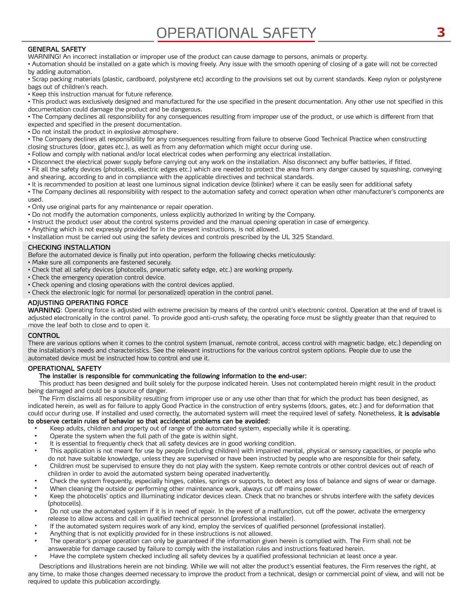# OPERATIONAL SAFETY **3**

#### GENERAL SAFETY

WARNING! An incorrect installation or improper use of the product can cause damage to persons, animals or property.

• Automation should be installed on a gate which is moving freely. Any issue with the smooth opening of closing of a gate will not be corrected by adding automation.

• Scrap packing materials (plastic, cardboard, polystyrene etc) according to the provisions set out by current standards. Keep nylon or polystyrene bags out of children's reach.

• Keep this instruction manual for future reference.

• This product was exclusively designed and manufactured for the use specified in the present documentation. Any other use not specified in this documentation could damage the product and be dangerous.

• The Company declines all responsibility for any consequences resulting from improper use of the product, or use which is different from that expected and specified in the present documentation.

• Do not install the product in explosive atmosphere.

• The Company declines all responsibility for any consequences resulting from failure to observe Good Technical Practice when constructing closing structures (door, gates etc.), as well as from any deformation which might occur during use.

• Follow and comply with national and/or local electrical codes when performing any electrical installation.

• Disconnect the electrical power supply before carrying out any work on the installation. Also disconnect any buffer batteries, if fitted.

• Fit all the safety devices (photocells, electric edges etc.) which are needed to protect the area from any danger caused by squashing, conveying and shearing, according to and in compliance with the applicable directives and technical standards.

• It is recommended to position at least one luminous signal indication device (blinker) where it can be easily seen for additional safety

• The Company declines all responsibility with respect to the automation safety and correct operation when other manufacturer's components are used.

• Only use original parts for any maintenance or repair operation.

- Do not modify the automation components, unless explicitly authorized In writing by the Company.
- Instruct the product user about the control systems provided and the manual opening operation in case of emergency.
- Anything which is not expressly provided for in the present instructions, is not allowed.
- Installation must be carried out using the safety devices and controls prescribed by the UL 325 Standard.

#### CHECKING INSTALLATION

Before the automated device is finally put into operation, perform the following checks meticulously:

- Make sure all components are fastened securely.
- Check that all safety devices (photocells, pneumatic safety edge, etc.) are working properly.
- Check the emergency operation control device.
- Check opening and closing operations with the control devices applied.
- Check the electronic logic for normal (or personalized) operation in the control panel.

#### ADJUSTING OPERATING FORCE

WARNING: Operating force is adjusted with extreme precision by means of the control unit's electronic control. Operation at the end of travel is adjusted electronically in the control panel. To provide good anti-crush safety, the operating force must be slightly greater than that required to move the leaf both to close and to open it.

#### CONTROL

There are various options when it comes to the control system (manual, remote control, access control with magnetic badge, etc.) depending on the installation's needs and characteristics. See the relevant instructions for the various control system options. People due to use the automated device must be instructed how to control and use it.

#### OPERATIONAL SAFETY

#### The installer is responsible for communicating the following information to the end-user:

This product has been designed and built solely for the purpose indicated herein. Uses not contemplated herein might result in the product being damaged and could be a source of danger.

The Firm disclaims all responsibility resulting from improper use or any use other than that for which the product has been designed, as indicated herein, as well as for failure to apply Good Practice in the construction of entry systems (doors, gates, etc.) and for deformation that could occur during use. If installed and used correctly, the automated system will meet the required level of safety. Nonetheless, it is advisable to observe certain rules of behavior so that accidental problems can be avoided:

- Keep adults, children and property out of range of the automated system, especially while it is operating.
- Operate the system when the full path of the gate is within sight.
- It is essential to frequently check that all safety devices are in good working condition.
- This application is not meant for use by people (including children) with impaired mental, physical or sensory capacities, or people who do not have suitable knowledge, unless they are supervised or have been instructed by people who are responsible for their safety.
- Children must be supervised to ensure they do not play with the system. Keep remote controls or other control devices out of reach of children in order to avoid the automated system being operated inadvertently.
- Check the system frequently, especially hinges, cables, springs or supports, to detect any loss of balance and signs of wear or damage. When cleaning the outside or performing other maintenance work, always cut off mains power.
- Keep the photocells' optics and illuminating indicator devices clean. Check that no branches or shrubs interfere with the safety devices (photocells).
- Do not use the automated system if it is in need of repair. In the event of a malfunction, cut off the power, activate the emergency release to allow access and call in qualified technical personnel (professional installer).
- If the automated system requires work of any kind, employ the services of qualified personnel (professional installer).
- Anything that is not explicitly provided for in these instructions is not allowed.
- The operator's proper operation can only be guaranteed if the information given herein is complied with. The Firm shall not be answerable for damage caused by failure to comply with the installation rules and instructions featured herein.
- Have the complete system checked including all safety devices by a qualified professional technician at least once a year.

Descriptions and illustrations herein are not binding. While we will not alter the product's essential features, the Firm reserves the right, at any time, to make those changes deemed necessary to improve the product from a technical, design or commercial point of view, and will not be required to update this publication accordingly.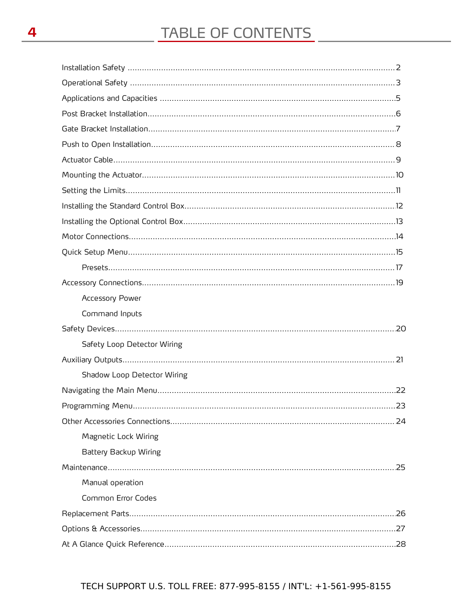| <b>Accessory Power</b>      |  |
|-----------------------------|--|
| Command Inputs              |  |
|                             |  |
| Safety Loop Detector Wiring |  |
|                             |  |
| Shadow Loop Detector Wiring |  |
|                             |  |
|                             |  |
|                             |  |
| Magnetic Lock Wiring        |  |
| Battery Backup Wiring       |  |
|                             |  |
| Manual operation            |  |
| Common Error Codes          |  |
|                             |  |
|                             |  |
|                             |  |

#### TECH SUPPORT U.S. TOLL FREE: 877-995-8155 / INT'L: +1-561-995-8155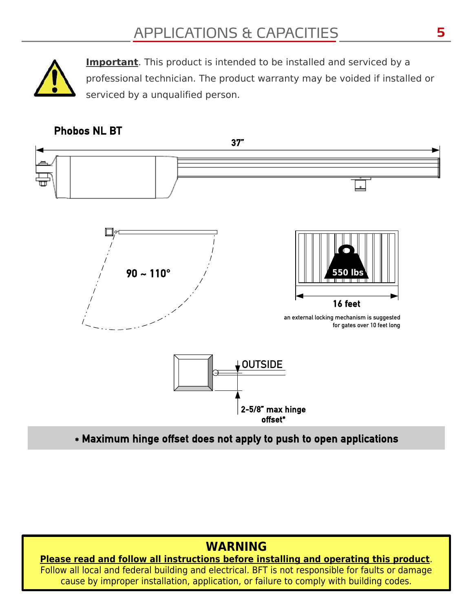

**Important**. This product is intended to be installed and serviced by a professional technician. The product warranty may be voided if installed or serviced by a unqualified person.

### Phobos NL BT



\* Maximum hinge offset does not apply to push to open applications

# **WARNING**

**Please read and follow all instructions before installing and operating this product**. Follow all local and federal building and electrical. BFT is not responsible for faults or damage cause by improper installation, application, or failure to comply with building codes.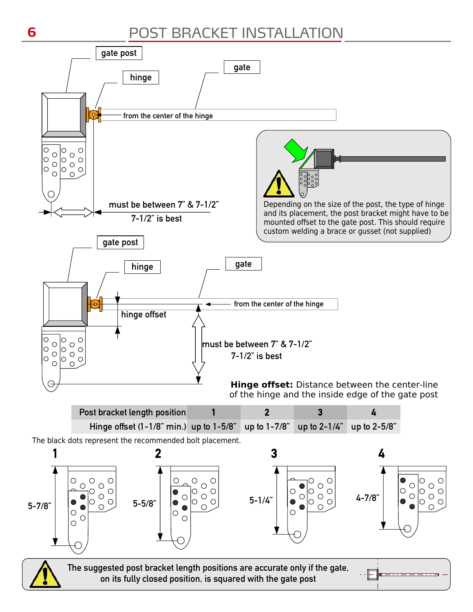# POST BRACKET INSTALLATION

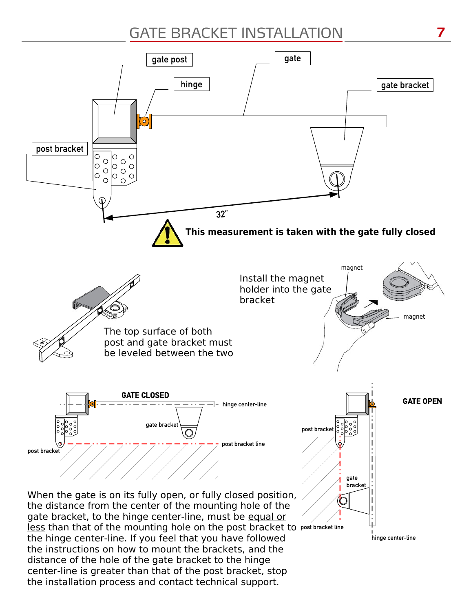# GATE BRACKET INSTALLATION



the installation process and contact technical support.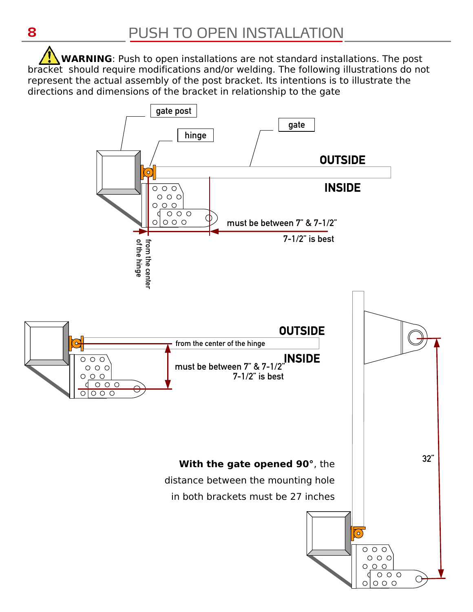**WARNING**: Push to open installations are not standard installations. The post bracket should require modifications and/or welding. The following illustrations do not represent the actual assembly of the post bracket. Its intentions is to illustrate the directions and dimensions of the bracket in relationship to the gate

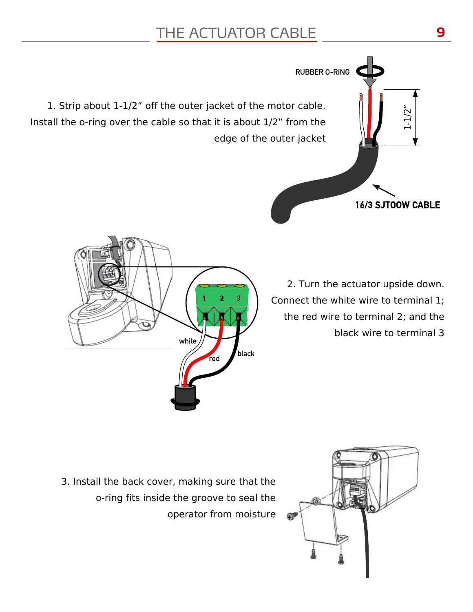# THE ACTUATOR CABLE

1. Strip about 1-1/2" off the outer jacket of the motor cable. Install the o-ring over the cable so that it is about 1/2" from the edge of the outer jacket

white

red black

2. Turn the actuator upside down. Connect the white wire to terminal 1; the red wire to terminal 2; and the black wire to terminal 3

16/3 SJTOOW CABLE

1-1/2

RUBBER O-RING

3. Install the back cover, making sure that the o-ring fits inside the groove to seal the operator from moisture



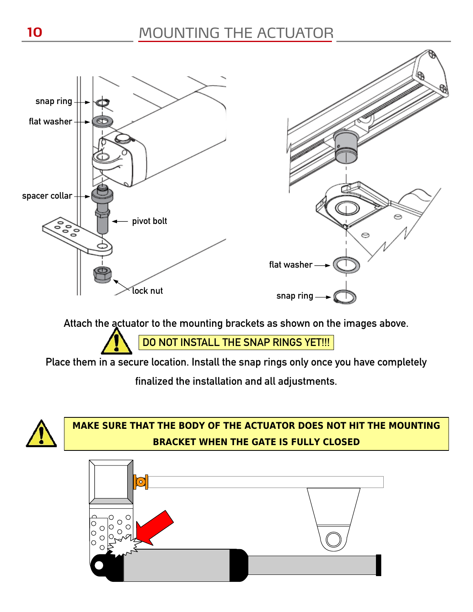

Attach the actuator to the mounting brackets as shown on the images above.

DO NOT INSTALL THE SNAP RINGS YET !!!

Place them in a secure location. Install the snap rings only once you have completely

finalized the installation and all adjustments.



### **MAKE SURE THAT THE BODY OF THE ACTUATOR DOES NOT HIT THE MOUNTING BRACKET WHEN THE GATE IS FULLY CLOSED**

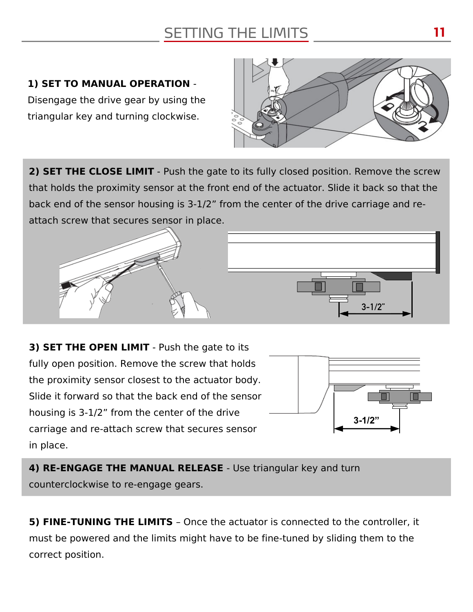# SETTING THE LIMITS

### **1) SET TO MANUAL OPERATION** -

Disengage the drive gear by using the triangular key and turning clockwise.



**2) SET THE CLOSE LIMIT** - Push the gate to its fully closed position. Remove the screw that holds the proximity sensor at the front end of the actuator. Slide it back so that the back end of the sensor housing is 3-1/2" from the center of the drive carriage and reattach screw that secures sensor in place.



**3) SET THE OPEN LIMIT** - Push the gate to its fully open position. Remove the screw that holds the proximity sensor closest to the actuator body. Slide it forward so that the back end of the sensor housing is 3-1/2" from the center of the drive carriage and re-attach screw that secures sensor in place.



**4) RE-ENGAGE THE MANUAL RELEASE** - Use triangular key and turn counterclockwise to re-engage gears.

**5) FINE-TUNING THE LIMITS** – Once the actuator is connected to the controller, it must be powered and the limits might have to be fine-tuned by sliding them to the correct position.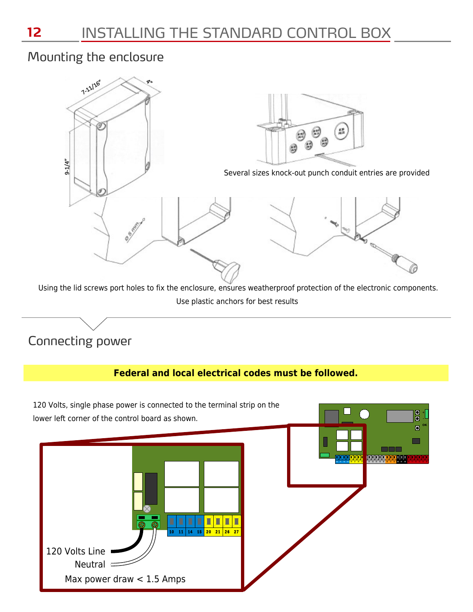### Mounting the enclosure



Use plastic anchors for best results

# Connecting power

### **Federal and local electrical codes must be followed.**



**12**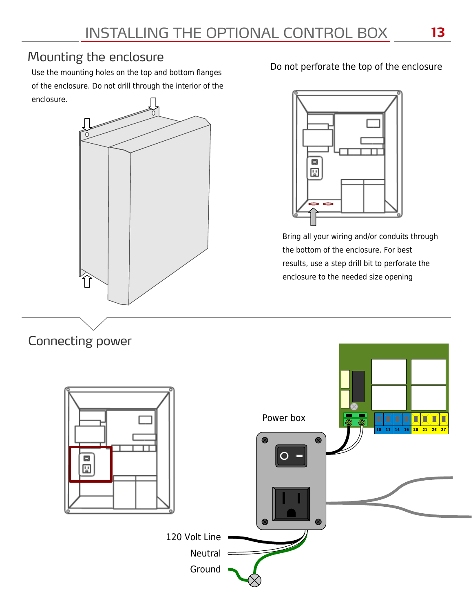## Mounting the enclosure

Use the mounting holes on the top and bottom flanges of the enclosure. Do not drill through the interior of the enclosure.



Do not perforate the top of the enclosure



Bring all your wiring and/or conduits through the bottom of the enclosure. For best results, use a step drill bit to perforate the enclosure to the needed size opening

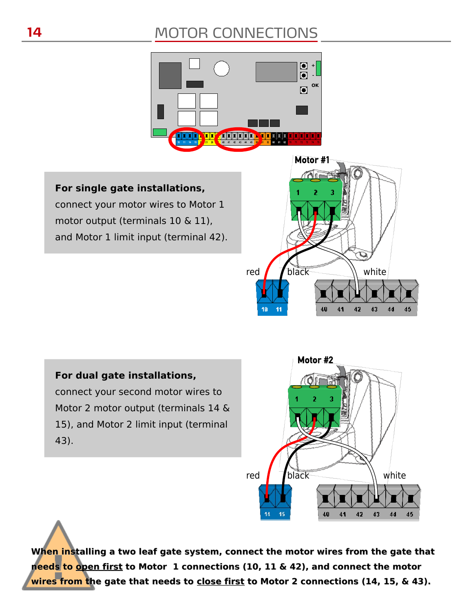# MOTOR CONNECTIONS



**For single gate installations,** connect your motor wires to Motor 1 motor output (terminals 10 & 11), and Motor 1 limit input (terminal 42).



#### **For dual gate installations,**

connect your second motor wires to Motor 2 motor output (terminals 14 & 15), and Motor 2 limit input (terminal 43).



**When installing a two leaf gate system, connect the motor wires from the gate that needs to open first to Motor 1 connections (10, 11 & 42), and connect the motor wires from the gate that needs to close first to Motor 2 connections (14, 15, & 43).**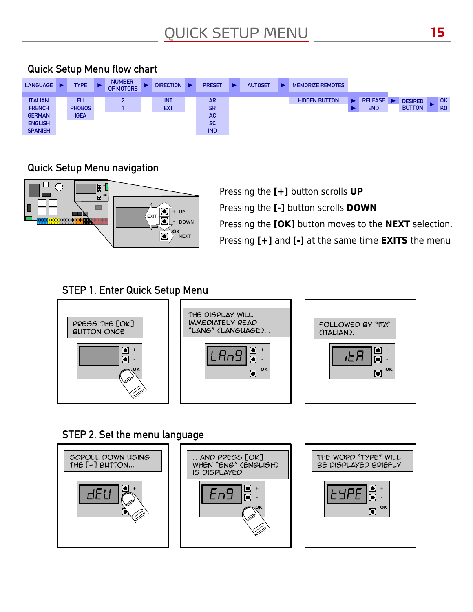

### Quick Setup Menu flow chart

### Quick Setup Menu navigation



Pressing the **[+]** button scrolls **UP** Pressing the **[-]** button scrolls **DOWN** Pressing the **[OK]** button moves to the **NEXT** selection. Pressing **[+]** and **[-]** at the same time **EXITS** the menu

### STEP 1. Enter Quick Setup Menu



### STEP 2. Set the menu language

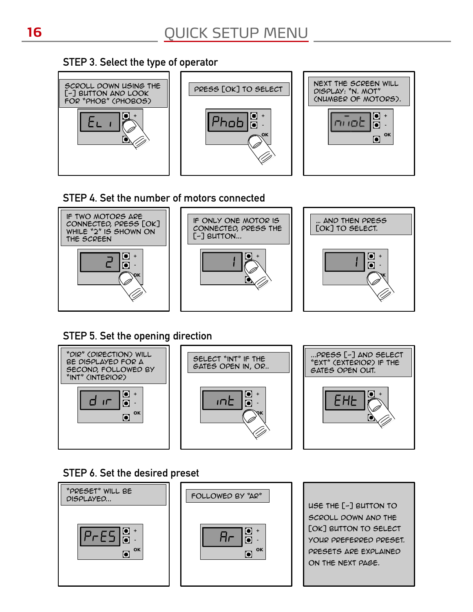### STEP 3. Select the type of operator



### STEP 4. Set the number of motors connected



### STEP 5. Set the opening direction



### STEP 6. Set the desired preset





use the [-] button to scroll down and the [OK] BUTTON TO SELECT your preferred preset. Presets are explained on the next page.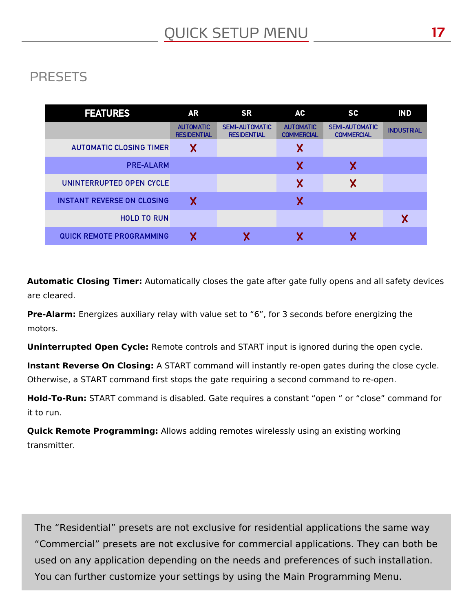# PRESETS

| <b>FEATURES</b>                   | <b>AR</b>                              | <b>SR</b>                                   | AC                                    | SC                                         | <b>IND</b>        |
|-----------------------------------|----------------------------------------|---------------------------------------------|---------------------------------------|--------------------------------------------|-------------------|
|                                   | <b>AUTOMATIC</b><br><b>RESIDENTIAL</b> | <b>SEMI-AUTOMATIC</b><br><b>RESIDENTIAL</b> | <b>AUTOMATIC</b><br><b>COMMERCIAL</b> | <b>SEMI-AUTOMATIC</b><br><b>COMMERCIAL</b> | <b>INDUSTRIAL</b> |
| <b>AUTOMATIC CLOSING TIMER</b>    | Χ                                      |                                             | Χ                                     |                                            |                   |
| <b>PRE-ALARM</b>                  |                                        |                                             | Χ                                     | Χ                                          |                   |
| UNINTERRUPTED OPEN CYCLE          |                                        |                                             | Χ                                     | Χ                                          |                   |
| <b>INSTANT REVERSE ON CLOSING</b> | Χ                                      |                                             | Χ                                     |                                            |                   |
| <b>HOLD TO RUN</b>                |                                        |                                             |                                       |                                            |                   |
| <b>QUICK REMOTE PROGRAMMING</b>   |                                        |                                             |                                       |                                            |                   |

**Automatic Closing Timer:** Automatically closes the gate after gate fully opens and all safety devices are cleared.

**Pre-Alarm:** Energizes auxiliary relay with value set to "6", for 3 seconds before energizing the motors.

**Uninterrupted Open Cycle:** Remote controls and START input is ignored during the open cycle.

**Instant Reverse On Closing:** A START command will instantly re-open gates during the close cycle. Otherwise, a START command first stops the gate requiring a second command to re-open.

**Hold-To-Run:** START command is disabled. Gate requires a constant "open " or "close" command for it to run.

**Quick Remote Programming:** Allows adding remotes wirelessly using an existing working transmitter.

The "Residential" presets are not exclusive for residential applications the same way "Commercial" presets are not exclusive for commercial applications. They can both be used on any application depending on the needs and preferences of such installation. You can further customize your settings by using the Main Programming Menu.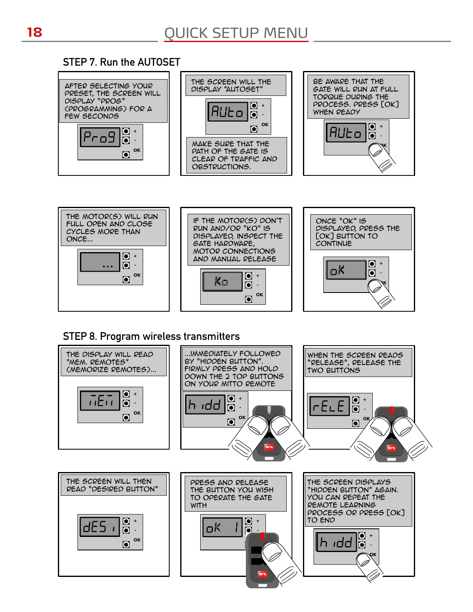### STEP 7. Run the AUTOSET





### STEP 8. Program wireless transmitters

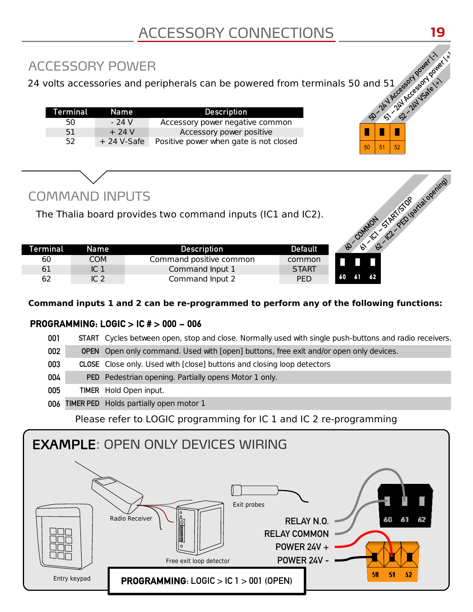# ACCESSORY POWER

50 - 24V Accessory power 51 Accessory powert, it is a contract of 24 volts accessories and peripherals can be powered from terminals 50 and 51

| Terminal | Name         | <b>Description</b>                     |
|----------|--------------|----------------------------------------|
| 50.      | - 24 V       | Accessory power negative common        |
| 51       | $+24V$       | Accessory power positive               |
| 52       | $+24$ V-Safe | Positive power when gate is not closed |

# COMMAND INPUTS

|          | <b>COMMAND INPUTS</b> | The Thalia board provides two command inputs (IC1 and IC2). |                | COMMON STATES Deatlied opening |
|----------|-----------------------|-------------------------------------------------------------|----------------|--------------------------------|
| Terminal | <b>Name</b>           | <b>Description</b>                                          | <b>Default</b> | B<br>$\varphi$                 |
| 60       | <b>COM</b>            | Command positive common                                     | common         |                                |
| 61       | IC <sub>1</sub>       | Command Input 1                                             | <b>START</b>   |                                |
| 62       | IC <sub>2</sub>       | Command Input 2                                             | <b>PED</b>     | 62<br>61<br>60                 |

### **Command inputs 1 and 2 can be re-programmed to perform any of the following functions:**

█ █ █  $50$  51 52

### PROGRAMMING: LOGIC > IC # > 000 ~ 006

| 001 | START Cycles between open, stop and close. Normally used with single push-buttons and radio receivers. |
|-----|--------------------------------------------------------------------------------------------------------|
| 002 | <b>OPEN</b> Open only command. Used with [open] buttons, free exit and/or open only devices.           |
| 003 | CLOSE Close only. Used with [close] buttons and closing loop detectors                                 |
| 004 | PED Pedestrian opening. Partially opens Motor 1 only.                                                  |
| 005 | TIMER Hold Open input.                                                                                 |
| 006 | <b>TIMER PED</b> Holds partially open motor 1                                                          |
|     | $Dlace$ refer to $LOCIC$ pregramming for $IC$ 1 and $IC$ 3 re-pregramming                              |

Please refer to LOGIC programming for IC 1 and IC 2 re-programming

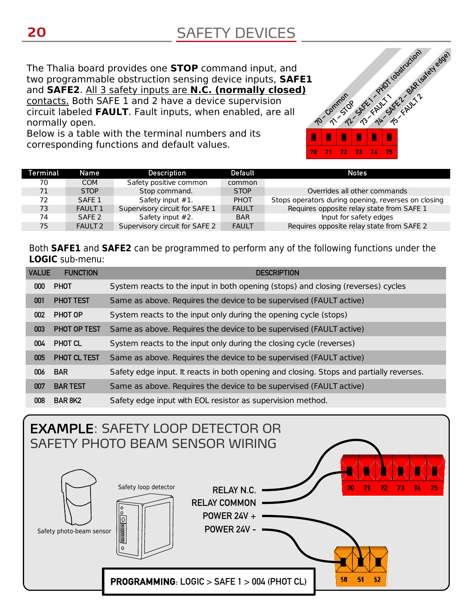<sup>70</sup> – Common The Thalia board provides one **STOP** command input, and two programmable obstruction sensing device inputs, **SAFE1** and **SAFE2**. All 3 safety inputs are **N.C. (normally closed)** contacts. Both SAFE 1 and 2 have a device supervision circuit labeled **FAULT**. Fault inputs, when enabled, are all normally open.

Below is a table with the terminal numbers and its corresponding functions and default values.

| Terminal | Name              | Description                    | Default      | <b>Notes</b>                                        |
|----------|-------------------|--------------------------------|--------------|-----------------------------------------------------|
| 70       | <b>COM</b>        | Safety positive common         | common       |                                                     |
| 71       | <b>STOP</b>       | Stop command.                  | <b>STOP</b>  | Overrides all other commands                        |
| 72       | SAFF <sub>1</sub> | Safety input #1.               | <b>PHOT</b>  | Stops operators during opening, reverses on closing |
| 73       | <b>FAULT 1</b>    | Supervisory circuit for SAFE 1 | <b>FAULT</b> | Requires opposite relay state from SAFE 1           |
| 74       | SAFE <sub>2</sub> | Safety input #2.               | <b>BAR</b>   | Input for safety edges                              |
| 75       | <b>FAULT 2</b>    | Supervisory circuit for SAFE 2 | <b>FAULT</b> | Requires opposite relay state from SAFE 2           |

█ █ █ █ █ █ 70 71 72 73 74 75

72 - July 1 obstruction)<br>70 SMEL - PHOT (obstruction)<br>72 - To - Th - To - KNX 7

**71 - STOP** 

Both **SAFE1** and **SAFE2** can be programmed to perform any of the following functions under the **LOGIC** sub-menu:

| <b>VALUE</b>     | <b>FUNCTION</b>  | <b>DESCRIPTION</b>                                                                      |
|------------------|------------------|-----------------------------------------------------------------------------------------|
| 000 <sub>1</sub> | <b>PHOT</b>      | System reacts to the input in both opening (stops) and closing (reverses) cycles        |
| 001              | <b>PHOT TEST</b> | Same as above. Requires the device to be supervised (FAULT active)                      |
| 002              | PHOT OP          | System reacts to the input only during the opening cycle (stops)                        |
| 003              | PHOT OP TEST     | Same as above. Requires the device to be supervised (FAULT active)                      |
| 004              | PHOT CL          | System reacts to the input only during the closing cycle (reverses)                     |
| 005              | PHOT CL TEST     | Same as above. Requires the device to be supervised (FAULT active)                      |
| 006              | <b>BAR</b>       | Safety edge input. It reacts in both opening and closing. Stops and partially reverses. |
| 007              | <b>BAR TEST</b>  | Same as above. Requires the device to be supervised (FAULT active)                      |
| 008              | <b>BAR 8K2</b>   | Safety edge input with EOL resistor as supervision method.                              |

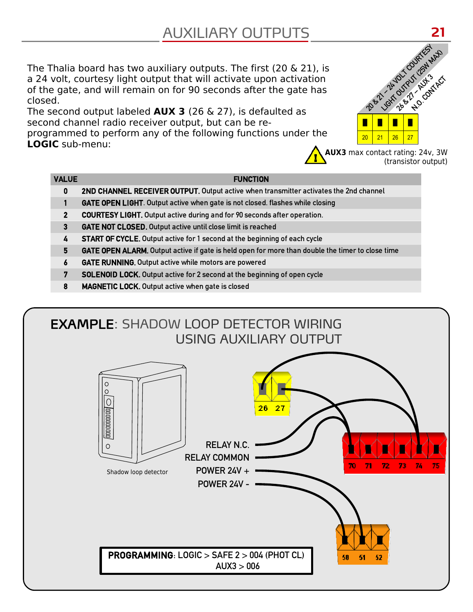# AUXILIARY OUTPUTS

The Thalia board has two auxiliary outputs. The first (20 & 21), is a 24 volt, courtesy light output that will activate upon activation of the gate, and will remain on for 90 seconds after the gate has closed.

The second output labeled **AUX 3** (26 & 27), is defaulted as second channel radio receiver output, but can be reprogrammed to perform any of the following functions under the **LOGIC** sub-menu:





#### VALUE **FUNCTION**

- 0 2ND CHANNEL RECEIVER OUTPUT. Output active when transmitter activates the 2nd channel
- 1 GATE OPEN LIGHT. Output active when gate is not closed. flashes while closing
- 2 COURTESY LIGHT. Output active during and for 90 seconds after operation.
- 3 GATE NOT CLOSED. Output active until close limit is reached
- 4 START OF CYCLE. Output active for 1 second at the beginning of each cycle
- 5 GATE OPEN ALARM. Output active if gate is held open for more than double the timer to close time
- 6 GATE RUNNING. Output active while motors are powered
- 7 SOLENOID LOCK. Output active for 2 second at the beginning of open cycle
- 8 MAGNETIC LOCK. Output active when gate is closed

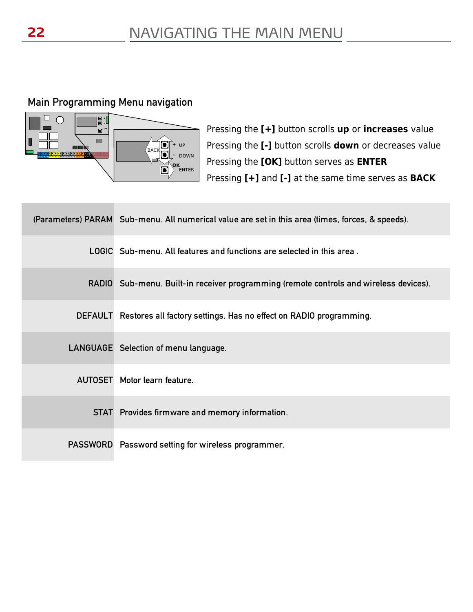### Main Programming Menu navigation



Pressing the **[+]** button scrolls **up** or **increases** value Pressing the **[-]** button scrolls **down** or decreases value Pressing the **[OK]** button serves as **ENTER** Pressing **[+]** and **[-]** at the same time serves as **BACK**

| (Parameters) PARAM Sub-menu. All numerical value are set in this area (times, forces, & speeds). |
|--------------------------------------------------------------------------------------------------|
| LOGIC Sub-menu. All features and functions are selected in this area.                            |
| RADIO Sub-menu. Built-in receiver programming (remote controls and wireless devices).            |
| DEFAULT Restores all factory settings. Has no effect on RADIO programming.                       |
| LANGUAGE Selection of menu language.                                                             |
| <b>AUTOSET</b> Motor learn feature.                                                              |
| STAT Provides firmware and memory information.                                                   |
| PASSWORD Password setting for wireless programmer.                                               |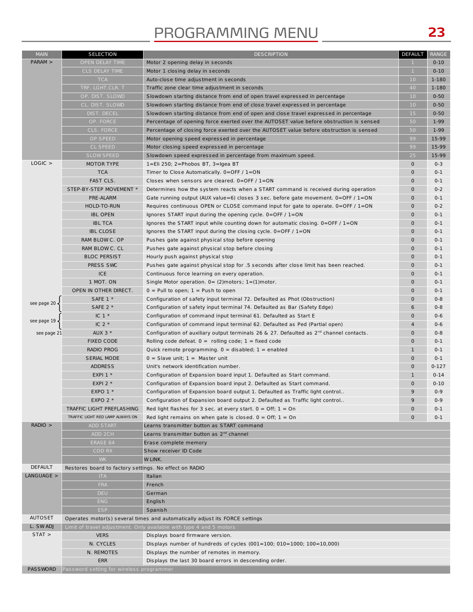# PROGRAMMING MENU

| <b>MAIN</b>    | <b>SELECTION</b>                                       | <b>DESCRIPTION</b>                                                                           | DEFAULT                    | RANGE              |
|----------------|--------------------------------------------------------|----------------------------------------------------------------------------------------------|----------------------------|--------------------|
| PARAM          | OPEN DELAY TIME                                        | Motor 2 opening delay in seconds                                                             | $\mathbf{1}$               | $0 - 10$           |
|                | CLS DELAY TIME                                         | Motor 1 closing delay in seconds                                                             | $\mathbf{1}$               | $0 - 10$           |
|                | <b>TCA</b>                                             | Auto-close time adjustment in seconds                                                        | 10                         | 1-180              |
|                | TRF. LGHT.CLR. T                                       | Traffic zone clear time adjustment in seconds                                                | 40                         | 1-180              |
|                | OP. DIST. SLOWD                                        | Slowdown starting distance from end of open travel expressed in percentage                   | 10 <sup>°</sup>            | $0 - 50$           |
|                | CL. DIST. SLOWD                                        | Slowdown starting distance from end of close travel expressed in percentage                  | 10 <sup>°</sup>            | $0 - 50$           |
|                | DIST. DECEL                                            | Slowdown starting distance from end of open and close travel expressed in percentage         | 15                         | $0 - 50$           |
|                | OP. FORCE                                              | Percentage of opening force exerted over the AUTOSET value before obstruction is sensed      | 50                         | $1-99$             |
|                | CLS. FORCE                                             | Percentage of closing force exerted over the AUTOSET value before obstruction is sensed      | 50                         | 1-99               |
|                | OP SPEED                                               |                                                                                              | 99                         | 15-99              |
|                |                                                        | Motor opening speed expressed in percentage                                                  |                            |                    |
|                | <b>CL SPEED</b><br><b>SLOW SPEED</b>                   | Motor closing speed expressed in percentage                                                  | 99                         | 15-99              |
| LOGIC >        |                                                        | Slowdown speed expressed in percentage from maximum speed.                                   | 25                         | 15-99              |
|                | MOTOR TYPE<br><b>TCA</b>                               | 1=Eli 250; 2=Phobos BT, 3=Igea BT                                                            | $\mathbf 0$<br>$\mathbf 0$ | $0 - 3$<br>$0 - 1$ |
|                |                                                        | Timer to Close Automatically. 0=OFF / 1=ON                                                   |                            |                    |
|                | FAST CLS.                                              | Closes when sensors are cleared. $0=OFF / 1=ON$                                              | $\mathbf 0$                | $0 - 1$            |
|                | STEP-BY-STEP MOVEMENT *                                | Determines how the system reacts when a START command is received during operation           | $\mathbf 0$                | $0 - 2$            |
|                | PRE-ALARM                                              | Gate running output (AUX value=6) closes 3 sec. before gate movement. 0=OFF / 1=ON           | $\mathbf 0$                | $0 - 1$            |
|                | HOLD-TO-RUN                                            | Requires continuous OPEN or CLOSE command input for gate to operate. $0=OFF/1=ON$            | $\mathbf 0$                | $0 - 2$            |
|                | <b>IBL OPEN</b>                                        | Ignores START input during the opening cycle. $0=OFF / 1=ON$                                 | $\mathbf 0$                | $0 - 1$            |
|                | <b>IBL TCA</b>                                         | Ignores the START input while counting down for automatic closing. $0=OFF/1=ON$              | $\mathbf 0$                | $0 - 1$            |
|                | <b>IBL CLOSE</b>                                       | Ignores the START input during the closing cycle. $0=$ OFF / $1=$ ON                         | $\mathbf 0$                | $0 - 1$            |
|                | RAM BLOW C. OP                                         | Pushes gate against physical stop before opening                                             | $\mathbf 0$                | $0 - 1$            |
|                | RAM BLOW C. CL                                         | Pushes gate against physical stop before closing                                             | $\mathbf 0$                | $0 - 1$            |
|                | <b>BLOC PERSIST</b>                                    | Hourly push against physical stop                                                            | $\mathbf 0$                | $0 - 1$            |
|                | PRESS SWC                                              | Pushes gate against physical stop for .5 seconds after close limit has been reached.         | $\mathbf 0$                | $0 - 1$            |
|                | <b>ICE</b>                                             | Continuous force learning on every operation.                                                | $\mathbf 0$                | $0 - 1$            |
|                | 1 MOT. ON                                              | Single Motor operation. $0 = (2)$ motors; $1 = (1)$ motor.                                   | $\mathbf 0$                | $0 - 1$            |
|                | OPEN IN OTHER DIRECT.                                  | $0 =$ Pull to open; $1 =$ Push to open                                                       | $\mathbf 0$                | $0 - 1$            |
|                | SAFE 1 *                                               | Configuration of safety input terminal 72. Defaulted as Phot (Obstruction)                   | $\mathbf 0$                | $0 - 8$            |
| see page 20    | SAFE 2 *                                               | Configuration of safety input terminal 74. Defaulted as Bar (Safety Edge)                    | 6                          | $0 - 8$            |
|                | IC $1*$                                                | Configuration of command input terminal 61. Defaulted as Start E                             | $\mathbf 0$                | $0 - 6$            |
| see page 19    | IC $2 *$                                               | Configuration of command input terminal 62. Defaulted as Ped (Partial open)                  | $\overline{4}$             | $0 - 6$            |
| see page 21    | AUX $3 *$                                              | Configuration of auxiliary output terminals 26 & 27. Defaulted as $2^{nd}$ channel contacts. | $\mathbf 0$                | $0 - 8$            |
|                | <b>FIXED CODE</b>                                      | Rolling code defeat. $0 =$ rolling code; $1 =$ fixed code                                    | $\mathbf 0$                | $0 - 1$            |
|                | <b>RADIO PROG</b>                                      | Quick remote programming. $0 =$ disabled; $1 =$ enabled                                      | $\mathbf{1}$               | $0 - 1$            |
|                | <b>SERIAL MODE</b>                                     | $0 =$ Slave unit; $1 =$ Master unit                                                          | $\mathbf 0$                | $0 - 1$            |
|                | <b>ADDRESS</b>                                         | Unit's network identification number.                                                        | $\mathbf 0$                | $0 - 127$          |
|                | EXPI 1 *                                               | Configuration of Expansion board input 1. Defaulted as Start command.                        | $\mathbf{1}$               | $0 - 14$           |
|                | EXPI 2 $*$                                             | Configuration of Expansion board input 2. Defaulted as Start command.                        | $\mathbf 0$                | $0 - 10$           |
|                | EXPO $1 *$                                             | Configuration of Expansion board output 1. Defaulted as Traffic light control                | 9                          | $0 - 9$            |
|                | EXPO 2 $*$                                             | Configuration of Expansion board output 2. Defaulted as Traffic light control                | 9                          | $0 - 9$            |
|                | TRAFFIC LIGHT PREFLASHING                              | Red light flashes for 3 sec. at every start. $0 = \text{Off}$ ; $1 = \text{On}$              | $\mathbf{0}$               | $0 - 1$            |
|                | TRAFFIC LIGHT RED LAMP ALWAYS ON                       | Red light remains on when gate is closed. $0 = \text{Off}$ ; $1 = \text{On}$                 | $\mathbf 0$                | $0 - 1$            |
| RADIO >        | <b>ADD START</b>                                       | Learns transmitter button as START command                                                   |                            |                    |
|                | ADD 2CH                                                | Learns transmitter button as 2 <sup>nd</sup> channel                                         |                            |                    |
|                | ERASE 64                                               |                                                                                              |                            |                    |
|                | <b>COD RX</b>                                          | Erase complete memory                                                                        |                            |                    |
|                |                                                        | Show receiver ID Code                                                                        |                            |                    |
| <b>DEFAULT</b> | <b>WK</b>                                              | W LINK.                                                                                      |                            |                    |
| $LANGUAGE$ >   | Restores board to factory settings. No effect on RADIO |                                                                                              |                            |                    |
|                | <b>ITA</b>                                             | Italian                                                                                      |                            |                    |
|                | <b>FRA</b>                                             | French                                                                                       |                            |                    |
|                | <b>DEU</b>                                             | German                                                                                       |                            |                    |
|                | <b>ENG</b>                                             | English                                                                                      |                            |                    |
|                | <b>ESP</b>                                             | <b>Spanish</b>                                                                               |                            |                    |
| <b>AUTOSET</b> |                                                        | Operates motor(s) several times and automatically adjust its FORCE settings                  |                            |                    |
| L. SWADJ       |                                                        | Limit of travel adjustment. Only available with type 4 and 5 motors                          |                            |                    |
| $STAT$ >       | <b>VERS</b>                                            | Displays board firmware version.                                                             |                            |                    |
|                | N. CYCLES                                              | Displays number of hundreds of cycles (001=100; 010=1000; 100=10,000)                        |                            |                    |
|                | N. REMOTES                                             | Displays the number of remotes in memory.                                                    |                            |                    |
|                | <b>ERR</b>                                             | Displays the last 30 board errors in descending order.                                       |                            |                    |
| PASSWORD       | Password setting for wireless programmer               |                                                                                              |                            |                    |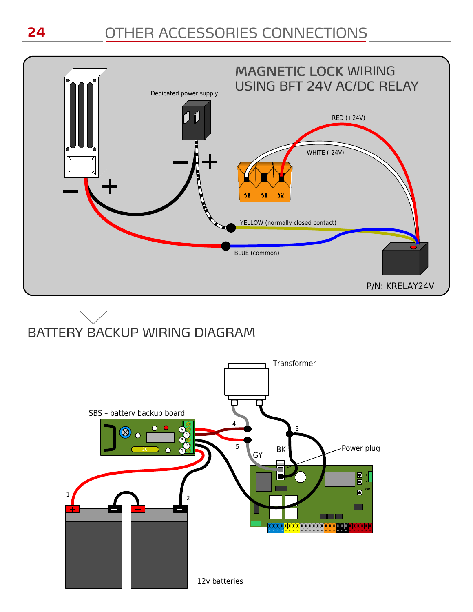# OTHER ACCESSORIES CONNECTIONS



# BATTERY BACKUP WIRING DIAGRAM

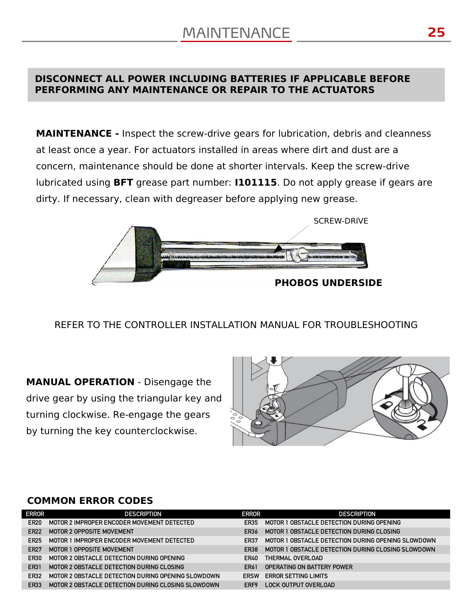### **DISCONNECT ALL POWER INCLUDING BATTERIES IF APPLICABLE BEFORE PERFORMING ANY MAINTENANCE OR REPAIR TO THE ACTUATORS**

**MAINTENANCE -** Inspect the screw-drive gears for lubrication, debris and cleanness at least once a year. For actuators installed in areas where dirt and dust are a concern, maintenance should be done at shorter intervals. Keep the screw-drive lubricated using **BFT** grease part number: **I101115**. Do not apply grease if gears are dirty. If necessary, clean with degreaser before applying new grease.



REFER TO THE CONTROLLER INSTALLATION MANUAL FOR TROUBLESHOOTING

**MANUAL OPERATION** - Disengage the drive gear by using the triangular key and turning clockwise. Re-engage the gears by turning the key counterclockwise.



#### **COMMON ERROR CODES**

| <b>ERROR</b>     | <b>DESCRIPTION</b>                                 | <b>ERROR</b> | <b>DESCRIPTION</b>                                 |
|------------------|----------------------------------------------------|--------------|----------------------------------------------------|
| ER <sub>20</sub> | MOTOR 2 IMPROPER ENCODER MOVEMENT DETECTED         | FR35         | MOTOR 1 OBSTACLE DETECTION DURING OPENING          |
| <b>ER22</b>      | <b>MOTOR 2 OPPOSITE MOVEMENT</b>                   | FR36         | MOTOR 1 OBSTACLE DETECTION DURING CLOSING          |
| <b>ER25</b>      | MOTOR 1 IMPROPER ENCODER MOVEMENT DETECTED         | ER37         | MOTOR 1 OBSTACLE DETECTION DURING OPENING SLOWDOWN |
| <b>ER27</b>      | MOTOR 1 OPPOSITE MOVEMENT                          | ER38         | MOTOR 1 OBSTACLE DETECTION DURING CLOSING SLOWDOWN |
| ER30             | MOTOR 2 OBSTACLE DETECTION DURING OPENING          | <b>FR40</b>  | THERMAL OVERLOAD                                   |
| ER31             | MOTOR 2 OBSTACLE DETECTION DURING CLOSING          | <b>ER61</b>  | OPERATING ON BATTERY POWER                         |
| ER32             | MOTOR 2 OBSTACLE DETECTION DURING OPENING SLOWDOWN | <b>ERSW</b>  | <b>ERROR SETTING LIMITS</b>                        |
| ER33             | MOTOR 2 OBSTACLE DETECTION DURING CLOSING SLOWDOWN | ERF9         | LOCK OUTPUT OVERLOAD                               |
|                  |                                                    |              |                                                    |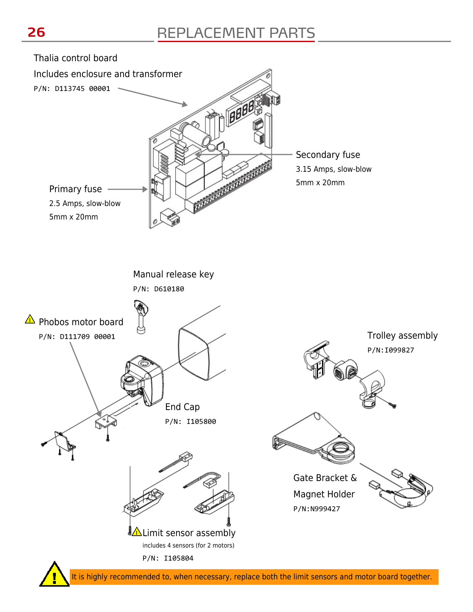

It is highly recommended to, when necessary, replace both the limit sensors and motor board together.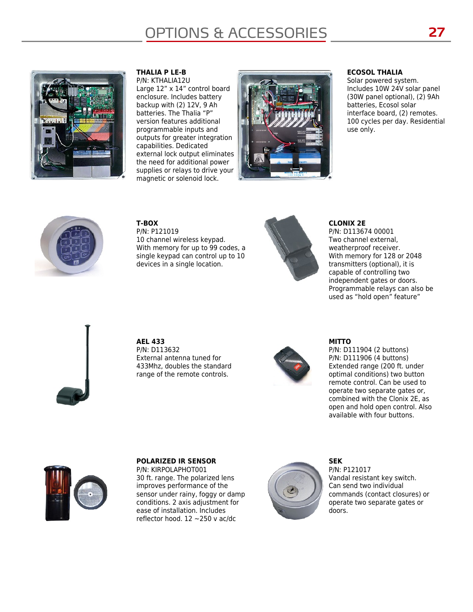# OPTIONS & ACCESSORIES **27**



#### **THALIA P LE-B**  P/N: KTHALIA12U

Large 12" x 14" control board enclosure. Includes battery backup with (2) 12V, 9 Ah batteries. The Thalia "P" version features additional programmable inputs and outputs for greater integration capabilities. Dedicated external lock output eliminates the need for additional power supplies or relays to drive your magnetic or solenoid lock.



#### **ECOSOL THALIA**

Solar powered system. Includes 10W 24V solar panel (30W panel optional), (2) 9Ah batteries, Ecosol solar interface board, (2) remotes. 100 cycles per day. Residential use only.



**T-BOX** P/N: P121019 10 channel wireless keypad. With memory for up to 99 codes, a single keypad can control up to 10 devices in a single location.



#### **CLONIX 2E**

P/N: D113674 00001 Two channel external, weatherproof receiver. With memory for 128 or 2048 transmitters (optional), it is capable of controlling two independent gates or doors. Programmable relays can also be used as "hold open" feature"



**AEL 433** P/N: D113632 External antenna tuned for 433Mhz, doubles the standard range of the remote controls.



#### **MITTO**

P/N: D111904 (2 buttons) P/N: D111906 (4 buttons) Extended range (200 ft. under optimal conditions) two button remote control. Can be used to operate two separate gates or, combined with the Clonix 2E, as open and hold open control. Also available with four buttons.



#### **POLARIZED IR SENSOR**

P/N: KIRPOLAPHOT001 30 ft. range. The polarized lens improves performance of the sensor under rainy, foggy or damp conditions. 2 axis adjustment for ease of installation. Includes reflector hood.  $12 \sim 250$  v ac/dc



**SEK** P/N: P121017 Vandal resistant key switch. Can send two individual commands (contact closures) or operate two separate gates or doors.